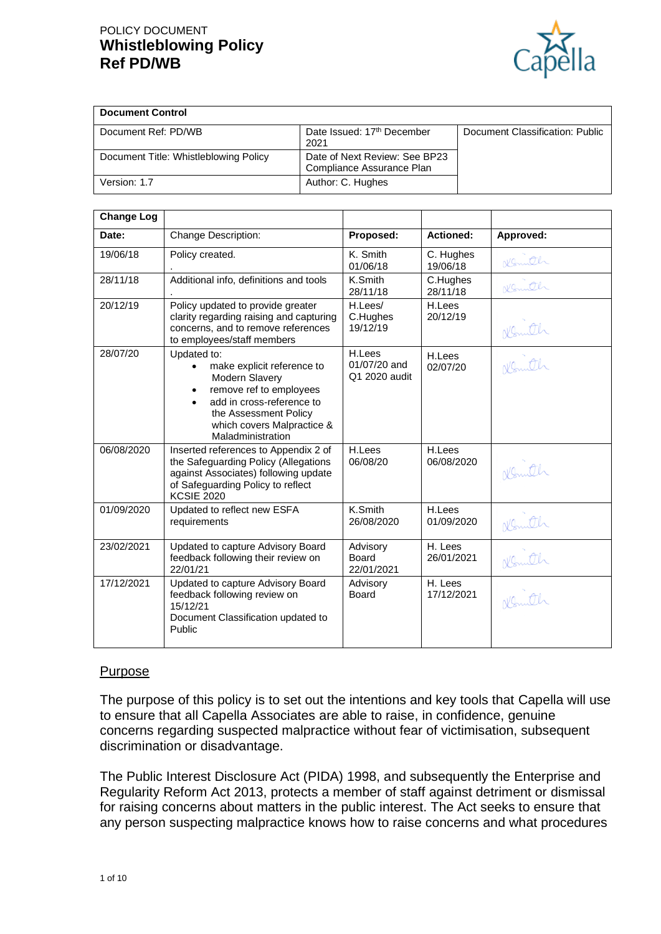# POLICY DOCUMENT **Whistleblowing Policy Ref PD/WB**



| <b>Document Control</b>               |                                                            |                                 |
|---------------------------------------|------------------------------------------------------------|---------------------------------|
| Document Ref: PD/WB                   | Date Issued: 17 <sup>th</sup> December<br>2021             | Document Classification: Public |
| Document Title: Whistleblowing Policy | Date of Next Review: See BP23<br>Compliance Assurance Plan |                                 |
| Version: 1.7                          | Author: C. Hughes                                          |                                 |

| <b>Change Log</b> |                                                                                                                                                                                                 |                                         |                             |           |
|-------------------|-------------------------------------------------------------------------------------------------------------------------------------------------------------------------------------------------|-----------------------------------------|-----------------------------|-----------|
| Date:             | Change Description:                                                                                                                                                                             | Proposed:                               | <b>Actioned:</b>            | Approved: |
| 19/06/18          | Policy created.                                                                                                                                                                                 | K. Smith<br>01/06/18                    | C. Hughes<br>19/06/18       | Komth     |
| 28/11/18          | Additional info, definitions and tools                                                                                                                                                          | K.Smith<br>28/11/18                     | C.Hughes<br>28/11/18        | Konutch   |
| 20/12/19          | Policy updated to provide greater<br>clarity regarding raising and capturing<br>concerns, and to remove references<br>to employees/staff members                                                | H.Lees/<br>C.Hughes<br>19/12/19         | H.Lees<br>20/12/19          | Komth     |
| 28/07/20          | Updated to:<br>make explicit reference to<br>Modern Slavery<br>remove ref to employees<br>add in cross-reference to<br>the Assessment Policy<br>which covers Malpractice &<br>Maladministration | H.Lees<br>01/07/20 and<br>Q1 2020 audit | H.Lees<br>02/07/20          | Nemith    |
| 06/08/2020        | Inserted references to Appendix 2 of<br>the Safeguarding Policy (Allegations<br>against Associates) following update<br>of Safeguarding Policy to reflect<br><b>KCSIE 2020</b>                  | H.Lees<br>06/08/20                      | H.Lees<br>06/08/2020        | Komth     |
| 01/09/2020        | Updated to reflect new ESFA<br>requirements                                                                                                                                                     | K.Smith<br>26/08/2020                   | <b>H.Lees</b><br>01/09/2020 | Komth     |
| 23/02/2021        | Updated to capture Advisory Board<br>feedback following their review on<br>22/01/21                                                                                                             | Advisory<br><b>Board</b><br>22/01/2021  | H. Lees<br>26/01/2021       | Komth     |
| 17/12/2021        | Updated to capture Advisory Board<br>feedback following review on<br>15/12/21<br>Document Classification updated to<br>Public                                                                   | Advisory<br>Board                       | H. Lees<br>17/12/2021       | Nemith    |

#### Purpose

The purpose of this policy is to set out the intentions and key tools that Capella will use to ensure that all Capella Associates are able to raise, in confidence, genuine concerns regarding suspected malpractice without fear of victimisation, subsequent discrimination or disadvantage.

The Public Interest Disclosure Act (PIDA) 1998, and subsequently the Enterprise and Regularity Reform Act 2013, protects a member of staff against detriment or dismissal for raising concerns about matters in the public interest. The Act seeks to ensure that any person suspecting malpractice knows how to raise concerns and what procedures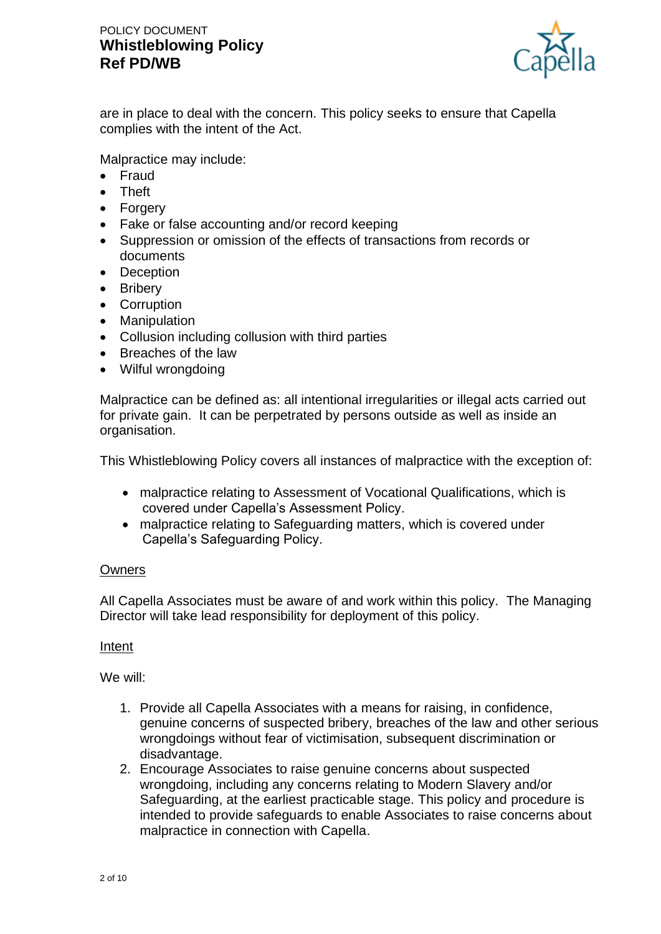

are in place to deal with the concern. This policy seeks to ensure that Capella complies with the intent of the Act.

Malpractice may include:

- Fraud
- Theft
- Forgery
- Fake or false accounting and/or record keeping
- Suppression or omission of the effects of transactions from records or documents
- Deception
- Bribery
- Corruption
- Manipulation
- Collusion including collusion with third parties
- Breaches of the law
- Wilful wrongdoing

Malpractice can be defined as: all intentional irregularities or illegal acts carried out for private gain. It can be perpetrated by persons outside as well as inside an organisation.

This Whistleblowing Policy covers all instances of malpractice with the exception of:

- malpractice relating to Assessment of Vocational Qualifications, which is covered under Capella's Assessment Policy.
- malpractice relating to Safeguarding matters, which is covered under Capella's Safeguarding Policy.

#### **Owners**

All Capella Associates must be aware of and work within this policy. The Managing Director will take lead responsibility for deployment of this policy.

#### Intent

We will:

- 1. Provide all Capella Associates with a means for raising, in confidence, genuine concerns of suspected bribery, breaches of the law and other serious wrongdoings without fear of victimisation, subsequent discrimination or disadvantage.
- 2. Encourage Associates to raise genuine concerns about suspected wrongdoing, including any concerns relating to Modern Slavery and/or Safeguarding, at the earliest practicable stage. This policy and procedure is intended to provide safeguards to enable Associates to raise concerns about malpractice in connection with Capella.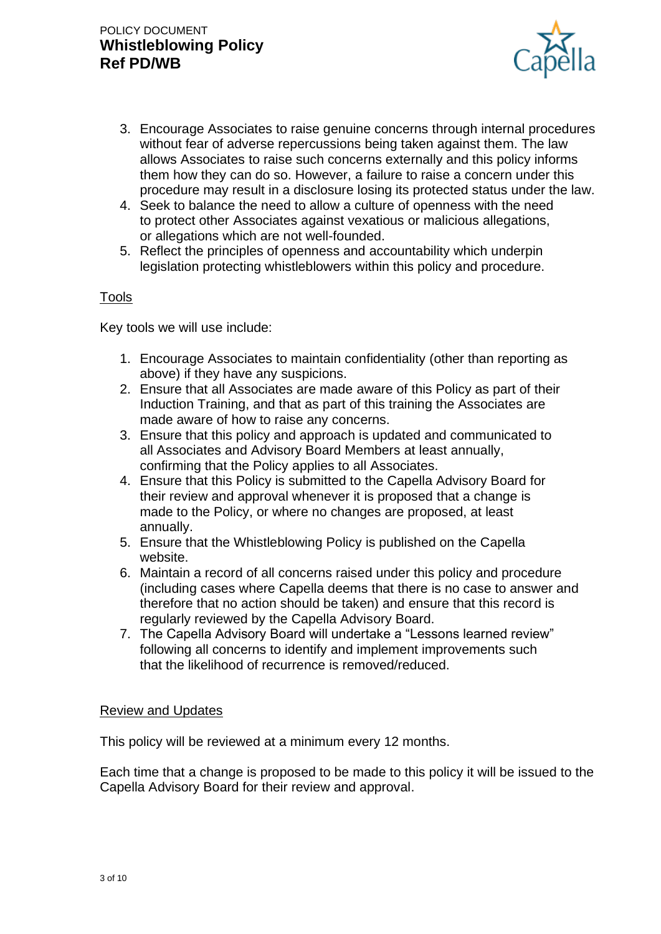

- 3. Encourage Associates to raise genuine concerns through internal procedures without fear of adverse repercussions being taken against them. The law allows Associates to raise such concerns externally and this policy informs them how they can do so. However, a failure to raise a concern under this procedure may result in a disclosure losing its protected status under the law.
- 4. Seek to balance the need to allow a culture of openness with the need to protect other Associates against vexatious or malicious allegations, or allegations which are not well-founded.
- 5. Reflect the principles of openness and accountability which underpin legislation protecting whistleblowers within this policy and procedure.

#### Tools

Key tools we will use include:

- 1. Encourage Associates to maintain confidentiality (other than reporting as above) if they have any suspicions.
- 2. Ensure that all Associates are made aware of this Policy as part of their Induction Training, and that as part of this training the Associates are made aware of how to raise any concerns.
- 3. Ensure that this policy and approach is updated and communicated to all Associates and Advisory Board Members at least annually, confirming that the Policy applies to all Associates.
- 4. Ensure that this Policy is submitted to the Capella Advisory Board for their review and approval whenever it is proposed that a change is made to the Policy, or where no changes are proposed, at least annually.
- 5. Ensure that the Whistleblowing Policy is published on the Capella website.
- 6. Maintain a record of all concerns raised under this policy and procedure (including cases where Capella deems that there is no case to answer and therefore that no action should be taken) and ensure that this record is regularly reviewed by the Capella Advisory Board.
- 7. The Capella Advisory Board will undertake a "Lessons learned review" following all concerns to identify and implement improvements such that the likelihood of recurrence is removed/reduced.

#### Review and Updates

This policy will be reviewed at a minimum every 12 months.

Each time that a change is proposed to be made to this policy it will be issued to the Capella Advisory Board for their review and approval.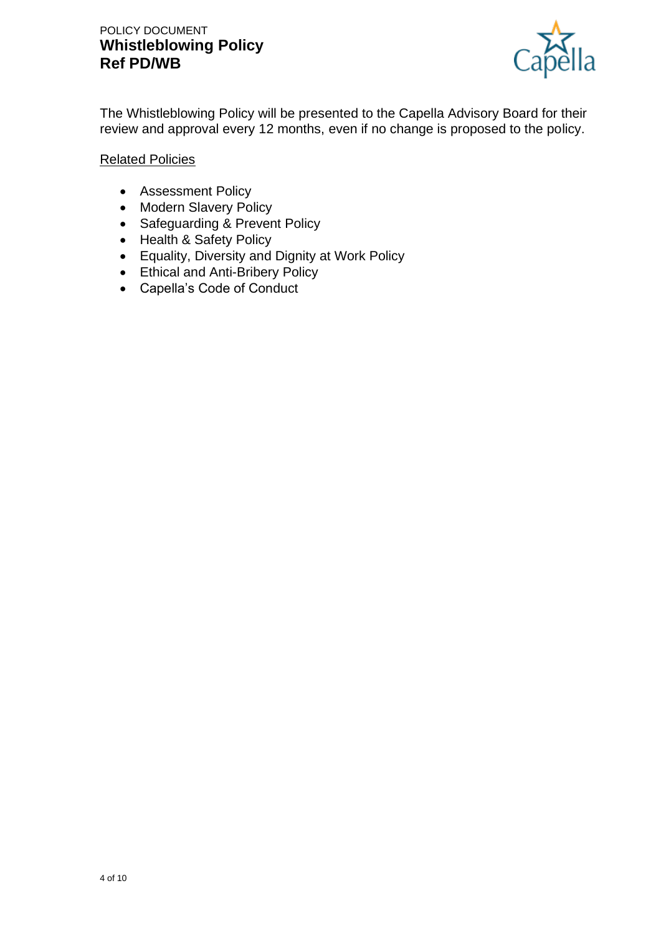## POLICY DOCUMENT **Whistleblowing Policy Ref PD/WB**



The Whistleblowing Policy will be presented to the Capella Advisory Board for their review and approval every 12 months, even if no change is proposed to the policy.

#### Related Policies

- Assessment Policy
- Modern Slavery Policy
- Safeguarding & Prevent Policy
- Health & Safety Policy
- Equality, Diversity and Dignity at Work Policy
- Ethical and Anti-Bribery Policy
- Capella's Code of Conduct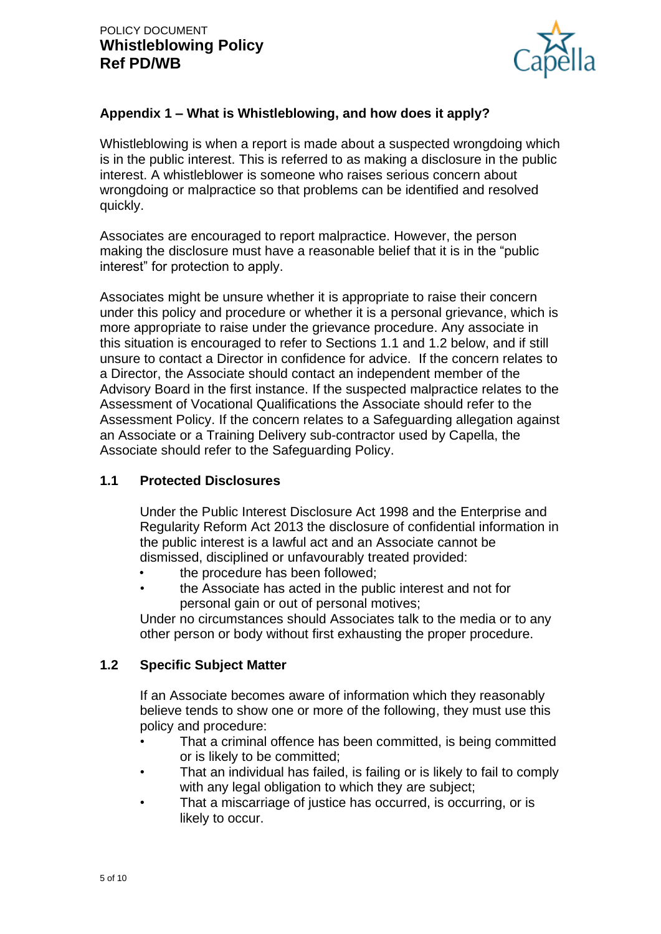

## **Appendix 1 – What is Whistleblowing, and how does it apply?**

Whistleblowing is when a report is made about a suspected wrongdoing which is in the public interest. This is referred to as making a disclosure in the public interest. A whistleblower is someone who raises serious concern about wrongdoing or malpractice so that problems can be identified and resolved quickly.

Associates are encouraged to report malpractice. However, the person making the disclosure must have a reasonable belief that it is in the "public interest" for protection to apply.

Associates might be unsure whether it is appropriate to raise their concern under this policy and procedure or whether it is a personal grievance, which is more appropriate to raise under the grievance procedure. Any associate in this situation is encouraged to refer to Sections 1.1 and 1.2 below, and if still unsure to contact a Director in confidence for advice. If the concern relates to a Director, the Associate should contact an independent member of the Advisory Board in the first instance. If the suspected malpractice relates to the Assessment of Vocational Qualifications the Associate should refer to the Assessment Policy. If the concern relates to a Safeguarding allegation against an Associate or a Training Delivery sub-contractor used by Capella, the Associate should refer to the Safeguarding Policy.

### **1.1 Protected Disclosures**

Under the Public Interest Disclosure Act 1998 and the Enterprise and Regularity Reform Act 2013 the disclosure of confidential information in the public interest is a lawful act and an Associate cannot be dismissed, disciplined or unfavourably treated provided:

- the procedure has been followed;
- the Associate has acted in the public interest and not for personal gain or out of personal motives;

Under no circumstances should Associates talk to the media or to any other person or body without first exhausting the proper procedure.

### **1.2 Specific Subject Matter**

If an Associate becomes aware of information which they reasonably believe tends to show one or more of the following, they must use this policy and procedure:

- That a criminal offence has been committed, is being committed or is likely to be committed;
- That an individual has failed, is failing or is likely to fail to comply with any legal obligation to which they are subject;
- That a miscarriage of justice has occurred, is occurring, or is likely to occur.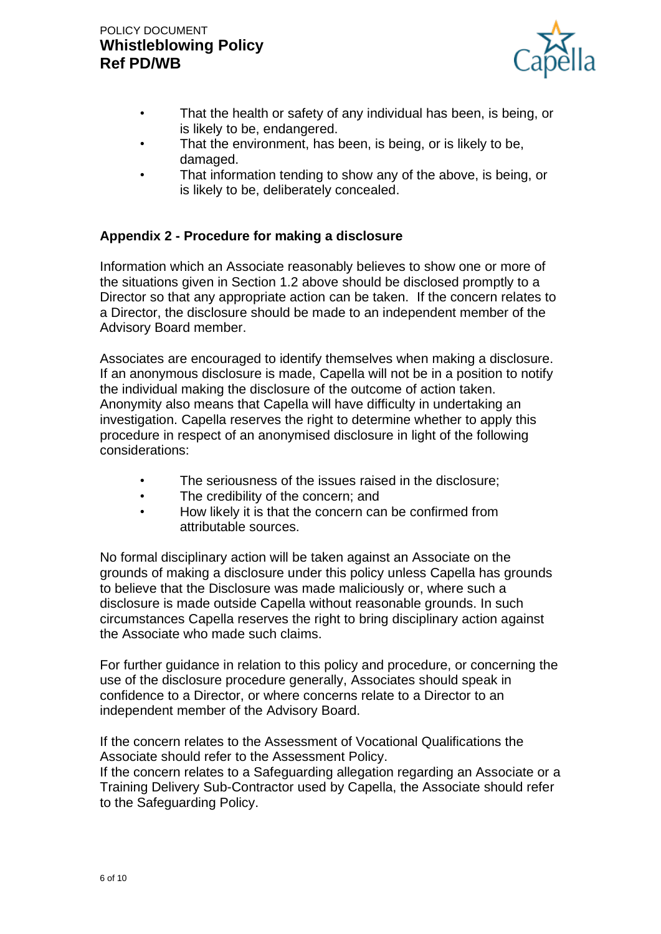

- That the health or safety of any individual has been, is being, or is likely to be, endangered.
- That the environment, has been, is being, or is likely to be, damaged.
- That information tending to show any of the above, is being, or is likely to be, deliberately concealed.

## **Appendix 2 - Procedure for making a disclosure**

Information which an Associate reasonably believes to show one or more of the situations given in Section 1.2 above should be disclosed promptly to a Director so that any appropriate action can be taken. If the concern relates to a Director, the disclosure should be made to an independent member of the Advisory Board member.

Associates are encouraged to identify themselves when making a disclosure. If an anonymous disclosure is made, Capella will not be in a position to notify the individual making the disclosure of the outcome of action taken. Anonymity also means that Capella will have difficulty in undertaking an investigation. Capella reserves the right to determine whether to apply this procedure in respect of an anonymised disclosure in light of the following considerations:

- The seriousness of the issues raised in the disclosure:
- The credibility of the concern; and
- How likely it is that the concern can be confirmed from attributable sources.

No formal disciplinary action will be taken against an Associate on the grounds of making a disclosure under this policy unless Capella has grounds to believe that the Disclosure was made maliciously or, where such a disclosure is made outside Capella without reasonable grounds. In such circumstances Capella reserves the right to bring disciplinary action against the Associate who made such claims.

For further guidance in relation to this policy and procedure, or concerning the use of the disclosure procedure generally, Associates should speak in confidence to a Director, or where concerns relate to a Director to an independent member of the Advisory Board.

If the concern relates to the Assessment of Vocational Qualifications the Associate should refer to the Assessment Policy.

If the concern relates to a Safeguarding allegation regarding an Associate or a Training Delivery Sub-Contractor used by Capella, the Associate should refer to the Safeguarding Policy.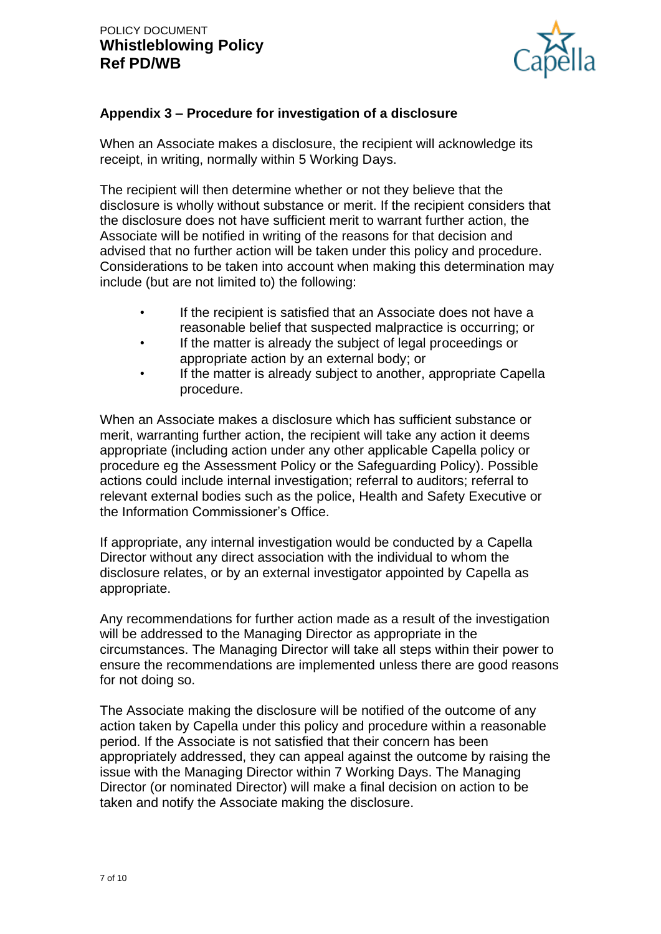

## **Appendix 3 – Procedure for investigation of a disclosure**

When an Associate makes a disclosure, the recipient will acknowledge its receipt, in writing, normally within 5 Working Days.

The recipient will then determine whether or not they believe that the disclosure is wholly without substance or merit. If the recipient considers that the disclosure does not have sufficient merit to warrant further action, the Associate will be notified in writing of the reasons for that decision and advised that no further action will be taken under this policy and procedure. Considerations to be taken into account when making this determination may include (but are not limited to) the following:

- If the recipient is satisfied that an Associate does not have a reasonable belief that suspected malpractice is occurring; or
- If the matter is already the subject of legal proceedings or appropriate action by an external body; or
- If the matter is already subject to another, appropriate Capella procedure.

When an Associate makes a disclosure which has sufficient substance or merit, warranting further action, the recipient will take any action it deems appropriate (including action under any other applicable Capella policy or procedure eg the Assessment Policy or the Safeguarding Policy). Possible actions could include internal investigation; referral to auditors; referral to relevant external bodies such as the police, Health and Safety Executive or the Information Commissioner's Office.

If appropriate, any internal investigation would be conducted by a Capella Director without any direct association with the individual to whom the disclosure relates, or by an external investigator appointed by Capella as appropriate.

Any recommendations for further action made as a result of the investigation will be addressed to the Managing Director as appropriate in the circumstances. The Managing Director will take all steps within their power to ensure the recommendations are implemented unless there are good reasons for not doing so.

The Associate making the disclosure will be notified of the outcome of any action taken by Capella under this policy and procedure within a reasonable period. If the Associate is not satisfied that their concern has been appropriately addressed, they can appeal against the outcome by raising the issue with the Managing Director within 7 Working Days. The Managing Director (or nominated Director) will make a final decision on action to be taken and notify the Associate making the disclosure.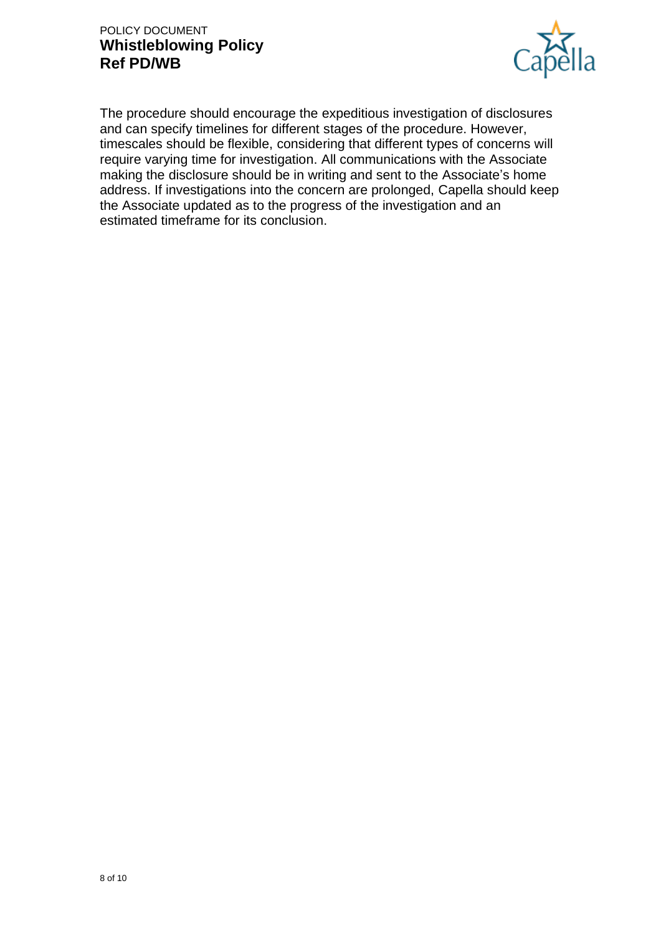## POLICY DOCUMENT **Whistleblowing Policy Ref PD/WB**



The procedure should encourage the expeditious investigation of disclosures and can specify timelines for different stages of the procedure. However, timescales should be flexible, considering that different types of concerns will require varying time for investigation. All communications with the Associate making the disclosure should be in writing and sent to the Associate's home address. If investigations into the concern are prolonged, Capella should keep the Associate updated as to the progress of the investigation and an estimated timeframe for its conclusion.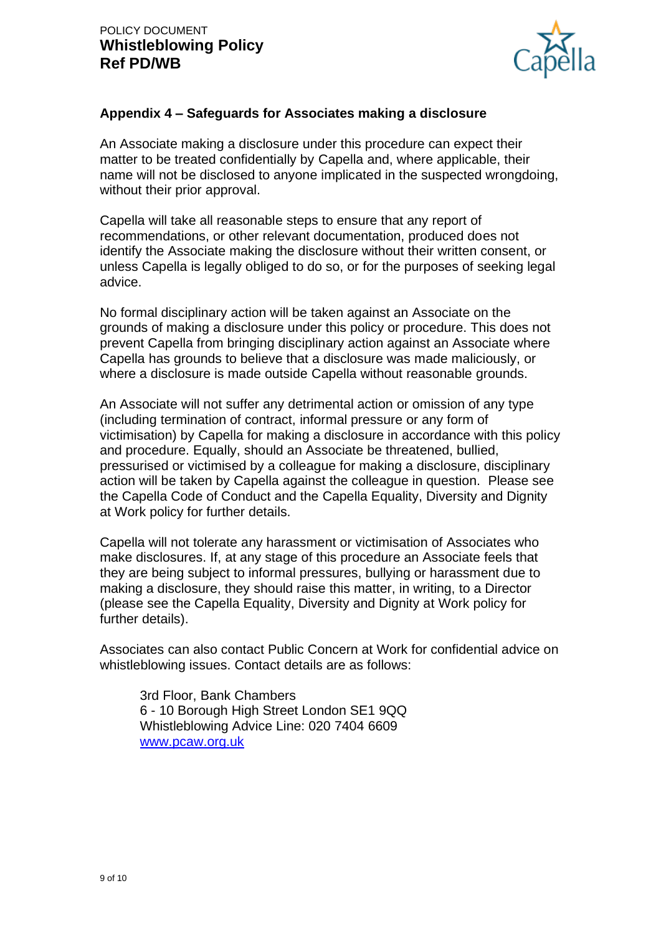

### **Appendix 4 – Safeguards for Associates making a disclosure**

An Associate making a disclosure under this procedure can expect their matter to be treated confidentially by Capella and, where applicable, their name will not be disclosed to anyone implicated in the suspected wrongdoing, without their prior approval.

Capella will take all reasonable steps to ensure that any report of recommendations, or other relevant documentation, produced does not identify the Associate making the disclosure without their written consent, or unless Capella is legally obliged to do so, or for the purposes of seeking legal advice.

No formal disciplinary action will be taken against an Associate on the grounds of making a disclosure under this policy or procedure. This does not prevent Capella from bringing disciplinary action against an Associate where Capella has grounds to believe that a disclosure was made maliciously, or where a disclosure is made outside Capella without reasonable grounds.

An Associate will not suffer any detrimental action or omission of any type (including termination of contract, informal pressure or any form of victimisation) by Capella for making a disclosure in accordance with this policy and procedure. Equally, should an Associate be threatened, bullied, pressurised or victimised by a colleague for making a disclosure, disciplinary action will be taken by Capella against the colleague in question. Please see the Capella Code of Conduct and the Capella Equality, Diversity and Dignity at Work policy for further details.

Capella will not tolerate any harassment or victimisation of Associates who make disclosures. If, at any stage of this procedure an Associate feels that they are being subject to informal pressures, bullying or harassment due to making a disclosure, they should raise this matter, in writing, to a Director (please see the Capella Equality, Diversity and Dignity at Work policy for further details).

Associates can also contact Public Concern at Work for confidential advice on whistleblowing issues. Contact details are as follows:

3rd Floor, Bank Chambers 6 - 10 Borough High Street London SE1 9QQ Whistleblowing Advice Line: 020 7404 6609 [www.pcaw.org.uk](http://www.pcaw.org.uk/)